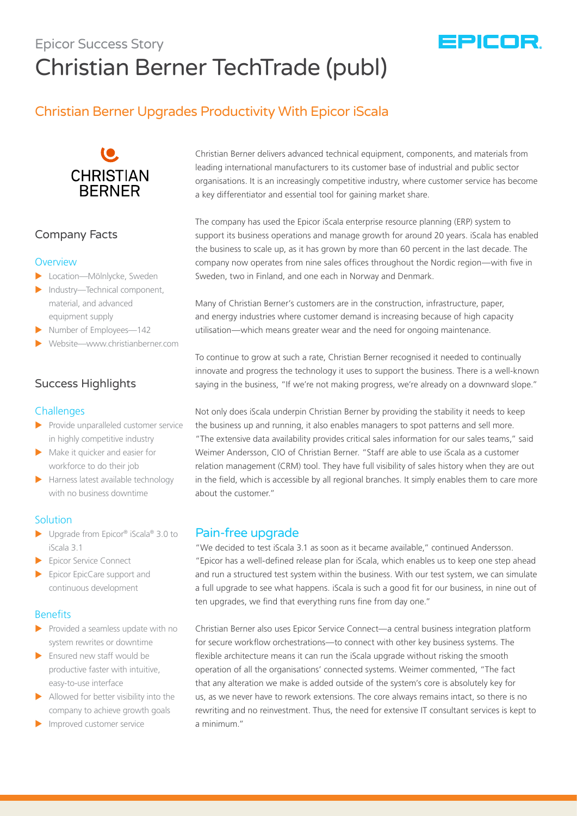# Epicor Success Story Christian Berner TechTrade (publ)

# Christian Berner Upgrades Productivity With Epicor iScala



## Company Facts

#### **Overview**

- **Location—Mölnlycke, Sweden**
- $\blacktriangleright$  Industry—Technical component, material, and advanced equipment supply
- $\blacktriangleright$  Number of Employees—142
- X Website—www.christianberner.com

# Success Highlights

#### **Challenges**

- $\blacktriangleright$  Provide unparalleled customer service in highly competitive industry
- $\blacktriangleright$  Make it quicker and easier for workforce to do their job
- $\blacktriangleright$  Harness latest available technology with no business downtime

#### **Solution**

- $\blacktriangleright$  Upgrade from Epicor® iScala® 3.0 to iScala 3.1
- Epicor Service Connect
- $\blacktriangleright$  Epicor EpicCare support and continuous development

#### **Benefits**

- $\blacktriangleright$  Provided a seamless update with no system rewrites or downtime
- $\blacktriangleright$  Ensured new staff would be productive faster with intuitive, easy-to-use interface
- $\blacktriangleright$  Allowed for better visibility into the company to achieve growth goals
- Improved customer service

Christian Berner delivers advanced technical equipment, components, and materials from leading international manufacturers to its customer base of industrial and public sector organisations. It is an increasingly competitive industry, where customer service has become a key differentiator and essential tool for gaining market share.

The company has used the Epicor iScala enterprise resource planning (ERP) system to support its business operations and manage growth for around 20 years. iScala has enabled the business to scale up, as it has grown by more than 60 percent in the last decade. The company now operates from nine sales offices throughout the Nordic region—with five in Sweden, two in Finland, and one each in Norway and Denmark.

Many of Christian Berner's customers are in the construction, infrastructure, paper, and energy industries where customer demand is increasing because of high capacity utilisation—which means greater wear and the need for ongoing maintenance.

To continue to grow at such a rate, Christian Berner recognised it needed to continually innovate and progress the technology it uses to support the business. There is a well-known saying in the business, "If we're not making progress, we're already on a downward slope."

Not only does iScala underpin Christian Berner by providing the stability it needs to keep the business up and running, it also enables managers to spot patterns and sell more. "The extensive data availability provides critical sales information for our sales teams," said Weimer Andersson, CIO of Christian Berner. "Staff are able to use iScala as a customer relation management (CRM) tool. They have full visibility of sales history when they are out in the field, which is accessible by all regional branches. It simply enables them to care more about the customer."

### Pain-free upgrade

"We decided to test iScala 3.1 as soon as it became available," continued Andersson. "Epicor has a well-defined release plan for iScala, which enables us to keep one step ahead and run a structured test system within the business. With our test system, we can simulate a full upgrade to see what happens. iScala is such a good fit for our business, in nine out of ten upgrades, we find that everything runs fine from day one."

Christian Berner also uses Epicor Service Connect—a central business integration platform for secure workflow orchestrations—to connect with other key business systems. The flexible architecture means it can run the iScala upgrade without risking the smooth operation of all the organisations' connected systems. Weimer commented, "The fact that any alteration we make is added outside of the system's core is absolutely key for us, as we never have to rework extensions. The core always remains intact, so there is no rewriting and no reinvestment. Thus, the need for extensive IT consultant services is kept to a minimum."